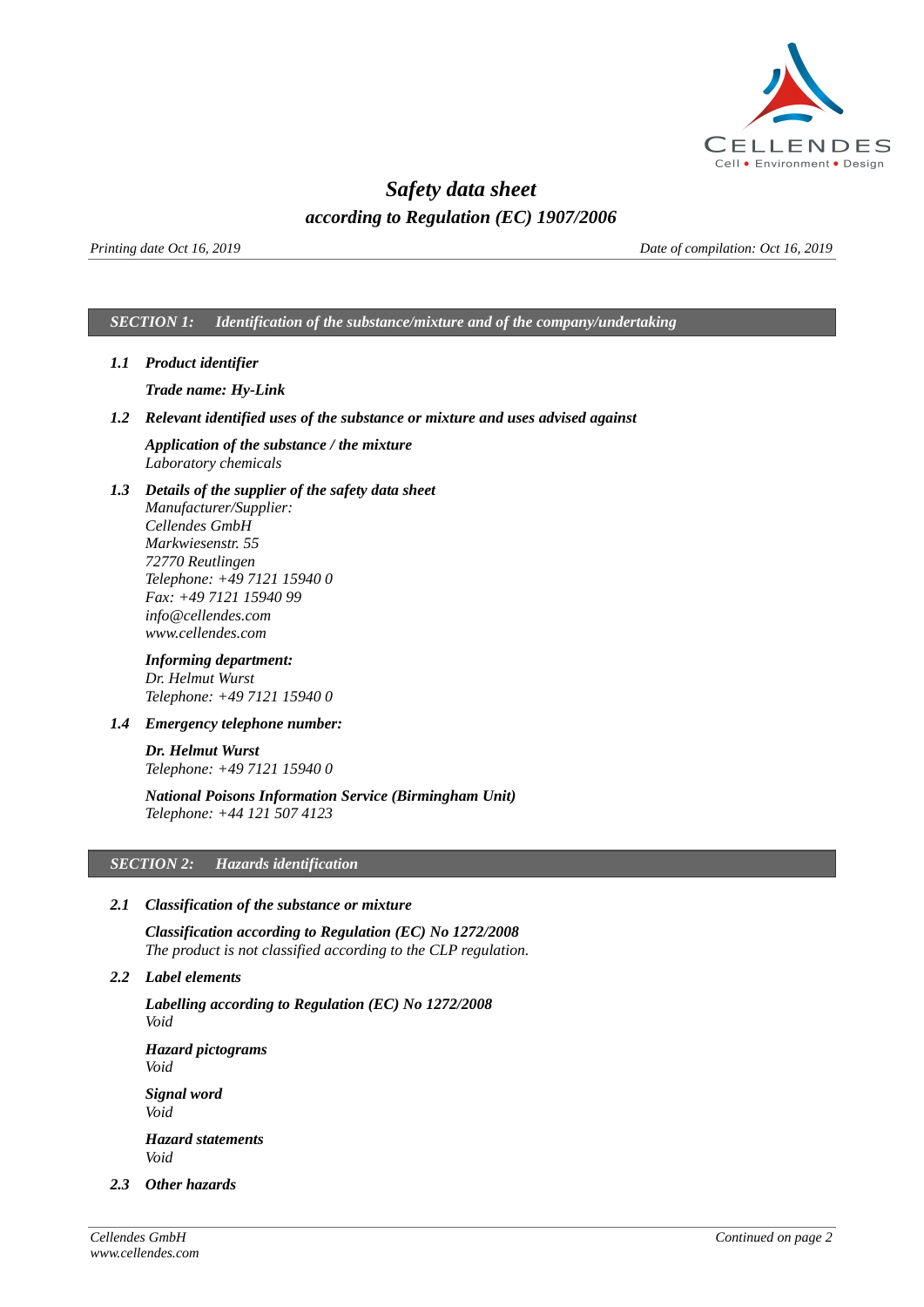

# *Safety data sheet according to Regulation (EC) 1907/2006*

*Printing date Oct 16, 2019 Date of compilation: Oct 16, 2019*

## *SECTION 1: Identification of the substance/mixture and of the company/undertaking*

*1.1 Product identifier*

*Trade name: Hy-Link*

*1.2 Relevant identified uses of the substance or mixture and uses advised against*

*Application of the substance / the mixture Laboratory chemicals*

*1.3 Details of the supplier of the safety data sheet Manufacturer/Supplier: Cellendes GmbH Markwiesenstr. 55 72770 Reutlingen Telephone: +49 7121 15940 0 Fax: +49 7121 15940 99 info@cellendes.com www.cellendes.com*

# *Informing department:*

*Dr. Helmut Wurst Telephone: +49 7121 15940 0*

*1.4 Emergency telephone number:*

*Dr. Helmut Wurst Telephone: +49 7121 15940 0*

*National Poisons Information Service (Birmingham Unit) Telephone: +44 121 507 4123*

# *SECTION 2: Hazards identification*

### *2.1 Classification of the substance or mixture*

*Classification according to Regulation (EC) No 1272/2008 The product is not classified according to the CLP regulation.*

*2.2 Label elements* 

*Labelling according to Regulation (EC) No 1272/2008 Void*

*Hazard pictograms Void*

*Signal word Void*

*Hazard statements Void*

*2.3 Other hazards*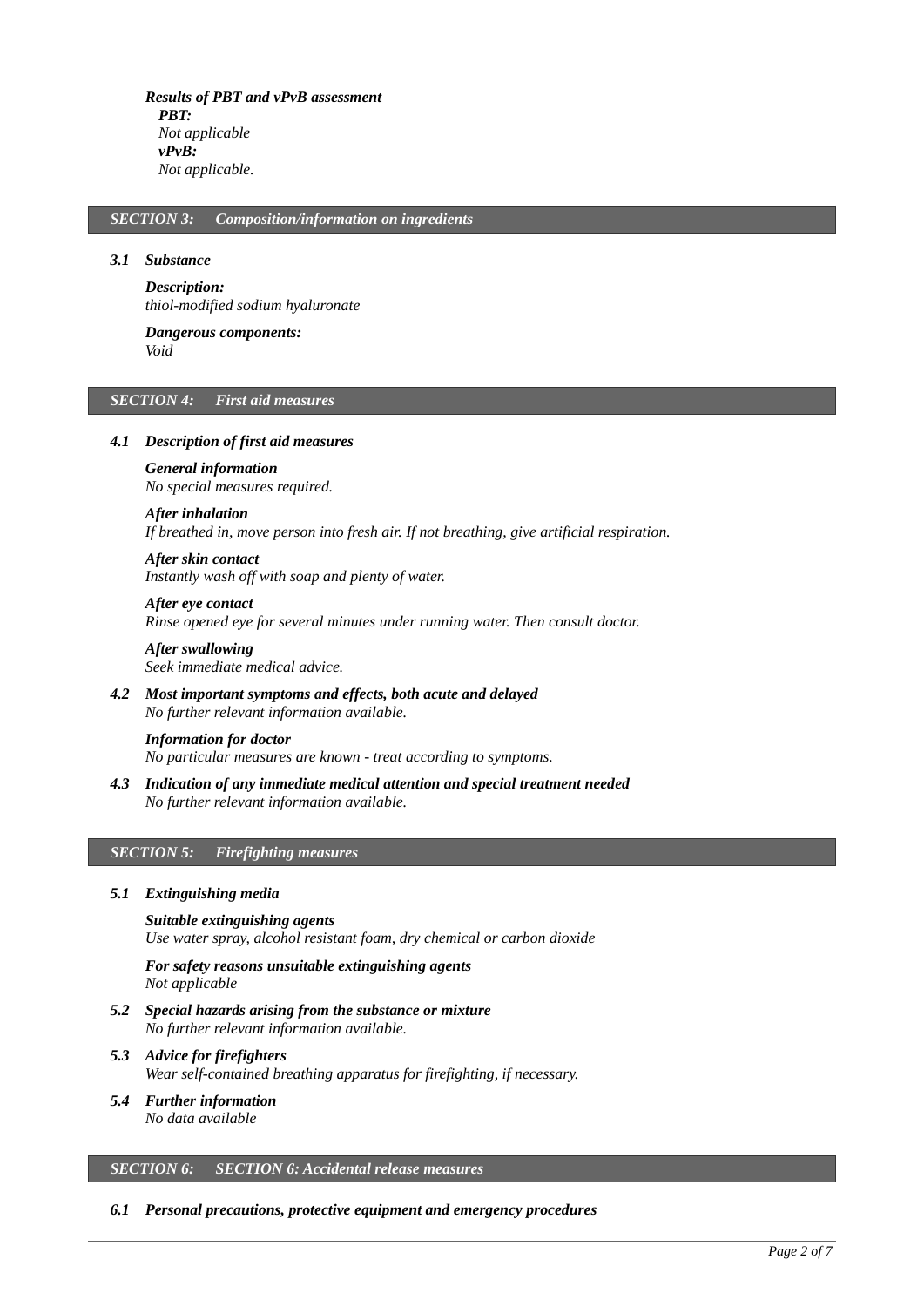*Results of PBT and vPvB assessment PBT: Not applicable vPvB: Not applicable.*

### *SECTION 3: Composition/information on ingredients*

#### *3.1 Substance*

*Description: thiol-modified sodium hyaluronate*

*Dangerous components: Void*

#### *SECTION 4: First aid measures*

### *4.1 Description of first aid measures*

*General information No special measures required.*

#### *After inhalation*

*If breathed in, move person into fresh air. If not breathing, give artificial respiration.*

*After skin contact Instantly wash off with soap and plenty of water.*

*After eye contact Rinse opened eye for several minutes under running water. Then consult doctor.*

*After swallowing Seek immediate medical advice.*

*4.2 Most important symptoms and effects, both acute and delayed No further relevant information available.*

*Information for doctor No particular measures are known - treat according to symptoms.*

*4.3 Indication of any immediate medical attention and special treatment needed No further relevant information available.*

### *SECTION 5: Firefighting measures*

#### *5.1 Extinguishing media*

*Suitable extinguishing agents Use water spray, alcohol resistant foam, dry chemical or carbon dioxide*

*For safety reasons unsuitable extinguishing agents Not applicable*

- *5.2 Special hazards arising from the substance or mixture No further relevant information available.*
- *5.3 Advice for firefighters Wear self-contained breathing apparatus for firefighting, if necessary.*
- *5.4 Further information No data available*

# *SECTION 6: SECTION 6: Accidental release measures*

#### *6.1 Personal precautions, protective equipment and emergency procedures*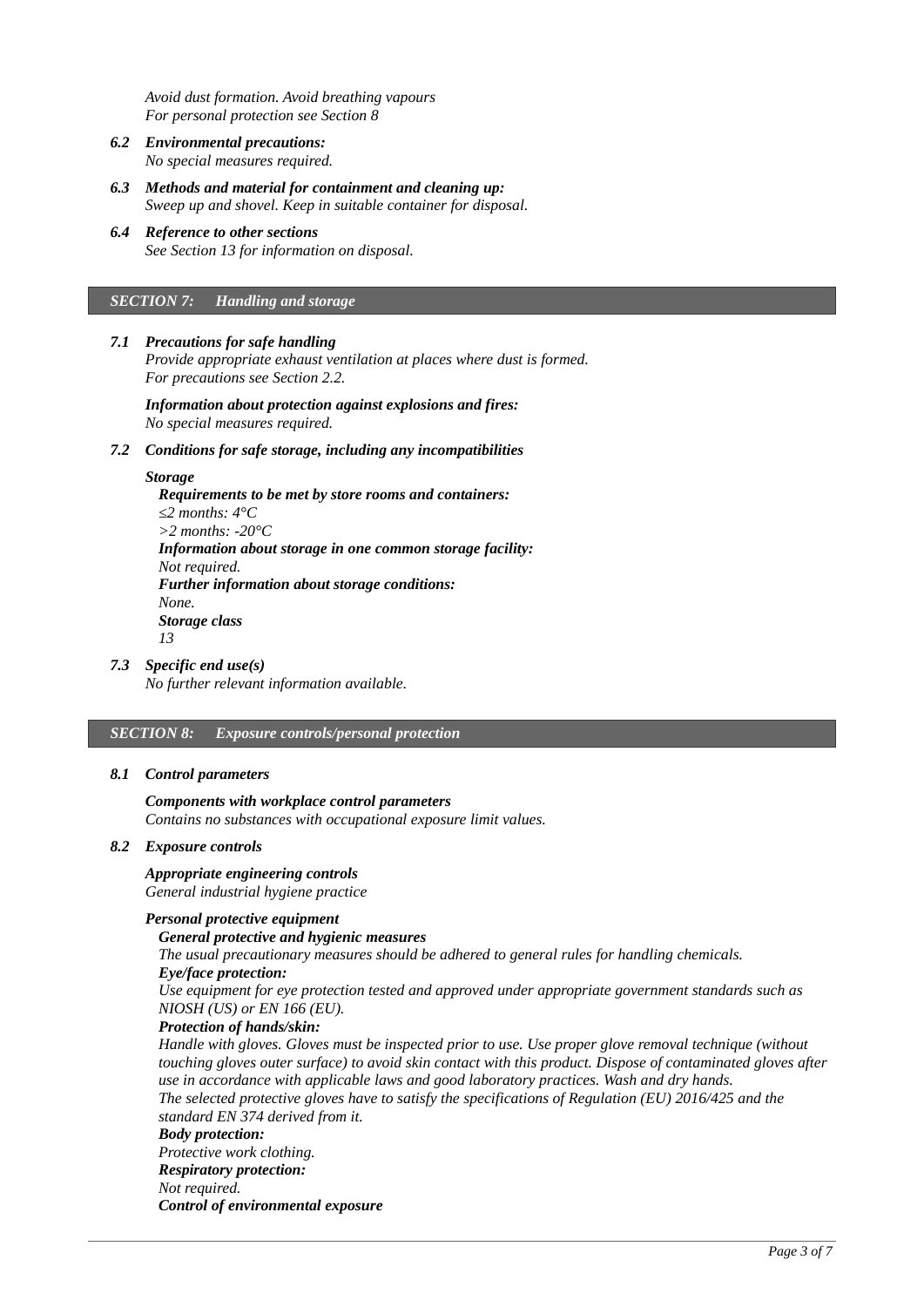*Avoid dust formation. Avoid breathing vapours For personal protection see Section 8*

- *6.2 Environmental precautions: No special measures required.*
- *6.3 Methods and material for containment and cleaning up: Sweep up and shovel. Keep in suitable container for disposal.*
- *6.4 Reference to other sections See Section 13 for information on disposal.*

#### *SECTION 7: Handling and storage*

### *7.1 Precautions for safe handling*

*Provide appropriate exhaust ventilation at places where dust is formed. For precautions see Section 2.2.*

*Information about protection against explosions and fires: No special measures required.*

#### *7.2 Conditions for safe storage, including any incompatibilities*

#### *Storage*

*Requirements to be met by store rooms and containers: ≤2 months: 4°C >2 months: -20°C Information about storage in one common storage facility: Not required. Further information about storage conditions: None. Storage class 13*

#### *7.3 Specific end use(s)*

*No further relevant information available.*

# *SECTION 8: Exposure controls/personal protection*

#### *8.1 Control parameters*

## *Components with workplace control parameters*

*Contains no substances with occupational exposure limit values.*

### *8.2 Exposure controls*

# *Appropriate engineering controls*

*General industrial hygiene practice*

# *Personal protective equipment*

### *General protective and hygienic measures*

*The usual precautionary measures should be adhered to general rules for handling chemicals. Eye/face protection:*

*Use equipment for eye protection tested and approved under appropriate government standards such as NIOSH (US) or EN 166 (EU).*

## *Protection of hands/skin:*

*Handle with gloves. Gloves must be inspected prior to use. Use proper glove removal technique (without touching gloves outer surface) to avoid skin contact with this product. Dispose of contaminated gloves after use in accordance with applicable laws and good laboratory practices. Wash and dry hands. The selected protective gloves have to satisfy the specifications of Regulation (EU) 2016/425 and the standard EN 374 derived from it.*

#### *Body protection: Protective work clothing.*

*Respiratory protection: Not required. Control of environmental exposure*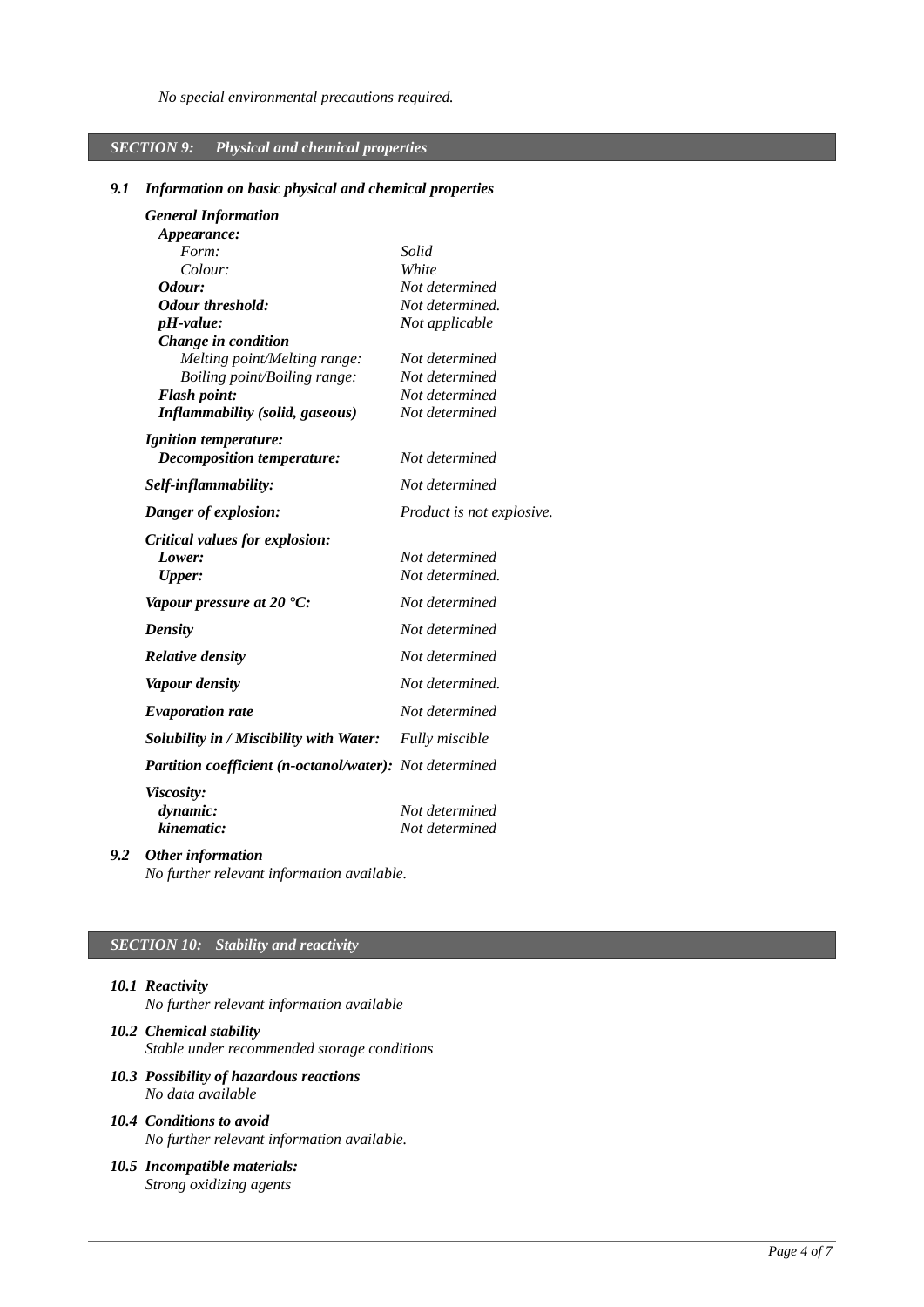# *SECTION 9: Physical and chemical properties*

### *9.1 Information on basic physical and chemical properties*

| <b>General Information</b>                                     |                           |
|----------------------------------------------------------------|---------------------------|
| <i>Appearance:</i>                                             |                           |
| Form:                                                          | Solid                     |
| Colour:                                                        | White                     |
| Odour:                                                         | Not determined            |
| <b>Odour threshold:</b>                                        | Not determined.           |
| pH-value:                                                      | Not applicable            |
| <b>Change in condition</b>                                     |                           |
| Melting point/Melting range:                                   | Not determined            |
| Boiling point/Boiling range:                                   | Not determined            |
| <b>Flash point:</b>                                            | Not determined            |
| <b>Inflammability (solid, gaseous)</b>                         | Not determined            |
| <b>Ignition temperature:</b>                                   |                           |
| <b>Decomposition temperature:</b>                              | Not determined            |
| Self-inflammability:                                           | Not determined            |
| Danger of explosion:                                           | Product is not explosive. |
| Critical values for explosion:                                 |                           |
| Lower:                                                         | Not determined            |
| <b>Upper:</b>                                                  | Not determined.           |
| Vapour pressure at 20 $^{\circ}$ C:                            | Not determined            |
| <b>Density</b>                                                 | Not determined            |
| <b>Relative density</b>                                        | Not determined            |
| <b>Vapour density</b>                                          | Not determined.           |
| <b>Evaporation rate</b>                                        | Not determined            |
| Solubility in / Miscibility with Water:                        | <b>Fully miscible</b>     |
| <b>Partition coefficient (n-octanol/water):</b> Not determined |                           |
| <b>Viscosity:</b>                                              |                           |
| dynamic:                                                       | Not determined            |
| kinematic:                                                     | Not determined            |
|                                                                |                           |

*9.2 Other information*

*No further relevant information available.*

## *SECTION 10: Stability and reactivity*

- *10.1 Reactivity No further relevant information available*
- *10.2 Chemical stability Stable under recommended storage conditions*
- *10.3 Possibility of hazardous reactions No data available*
- *10.4 Conditions to avoid No further relevant information available.*
- *10.5 Incompatible materials: Strong oxidizing agents*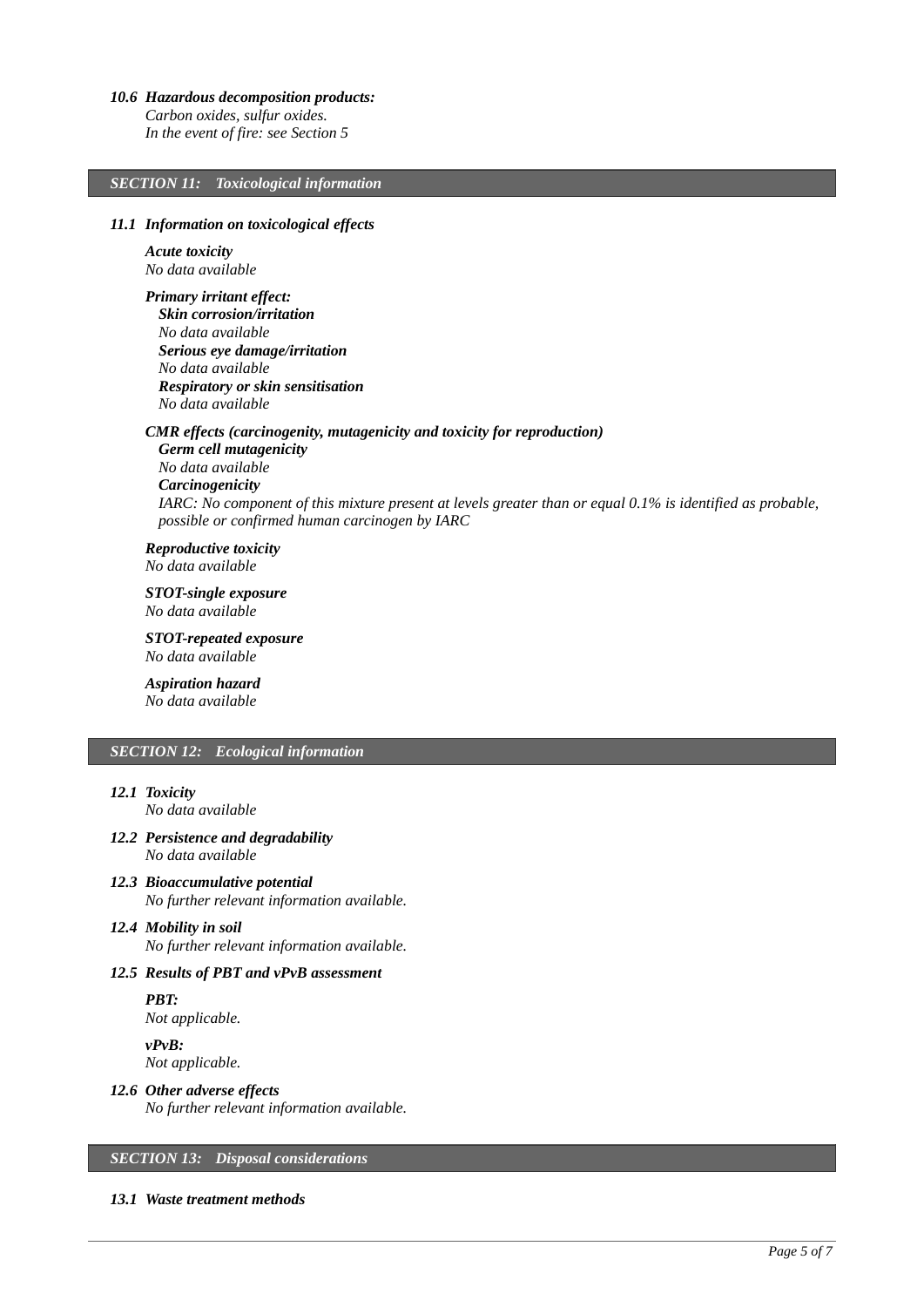#### *10.6 Hazardous decomposition products:*

*Carbon oxides, sulfur oxides.*

*In the event of fire: see Section 5*

### *SECTION 11: Toxicological information*

#### *11.1 Information on toxicological effects*

*Acute toxicity No data available*

*Primary irritant effect: Skin corrosion/irritation No data available Serious eye damage/irritation No data available Respiratory or skin sensitisation No data available*

### *CMR effects (carcinogenity, mutagenicity and toxicity for reproduction)*

*Germ cell mutagenicity No data available Carcinogenicity IARC: No component of this mixture present at levels greater than or equal 0.1% is identified as probable, possible or confirmed human carcinogen by IARC*

*Reproductive toxicity No data available*

*STOT-single exposure No data available*

*STOT-repeated exposure No data available*

*Aspiration hazard No data available*

# *SECTION 12: Ecological information*

# *12.1 Toxicity*

*No data available*

- *12.2 Persistence and degradability No data available*
- *12.3 Bioaccumulative potential No further relevant information available.*

### *12.4 Mobility in soil No further relevant information available.*

### *12.5 Results of PBT and vPvB assessment*

*PBT: Not applicable.*

*vPvB: Not applicable.*

*12.6 Other adverse effects No further relevant information available.*

### *SECTION 13: Disposal considerations*

#### *13.1 Waste treatment methods*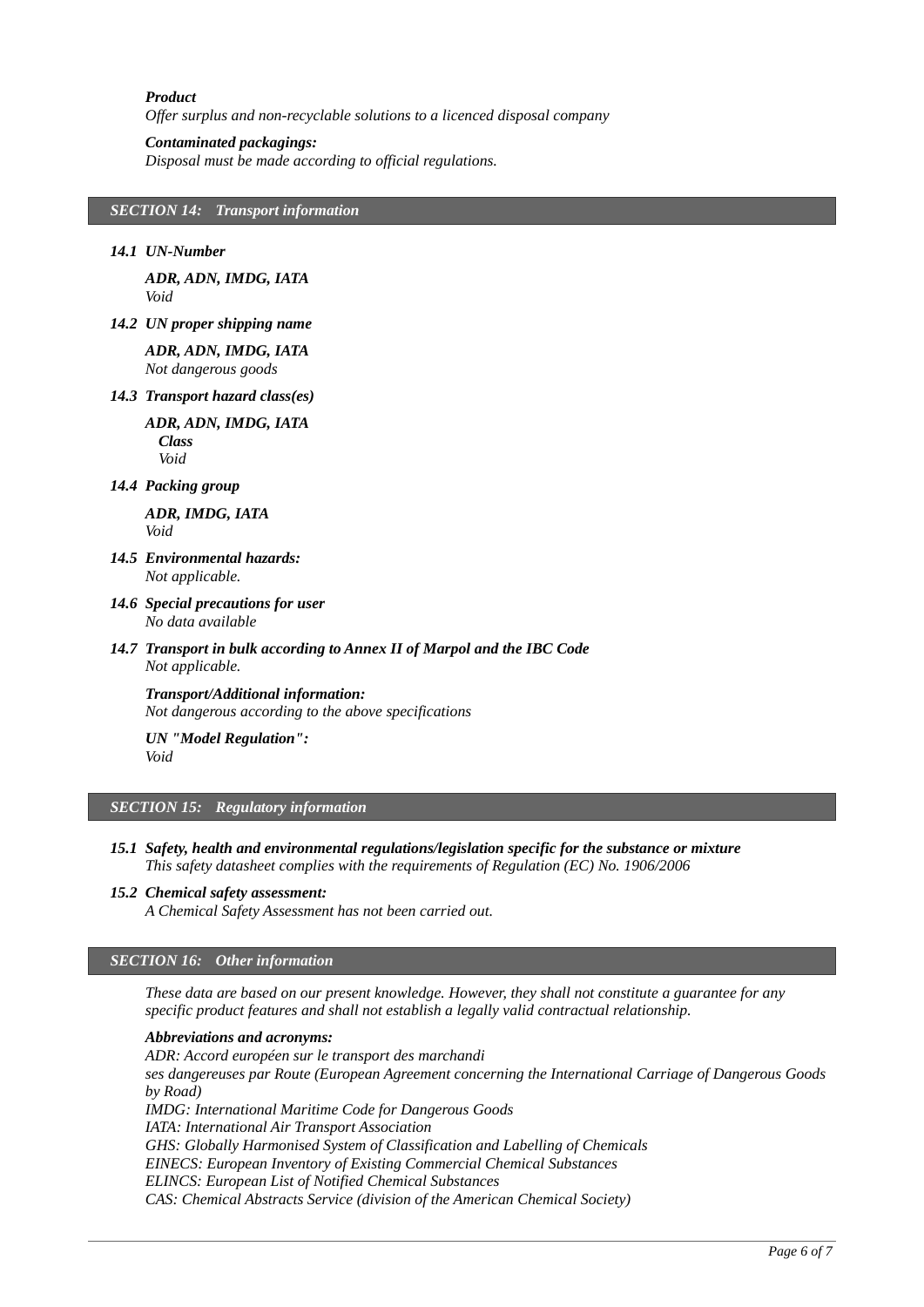#### *Product*

*Offer surplus and non-recyclable solutions to a licenced disposal company*

#### *Contaminated packagings:*

*Disposal must be made according to official regulations.*

# *SECTION 14: Transport information*

#### *14.1 UN-Number*

*ADR, ADN, IMDG, IATA Void*

*14.2 UN proper shipping name*

*ADR, ADN, IMDG, IATA Not dangerous goods*

#### *14.3 Transport hazard class(es)*

*ADR, ADN, IMDG, IATA Class Void*

#### *14.4 Packing group*

*ADR, IMDG, IATA Void*

- *14.5 Environmental hazards: Not applicable.*
- *14.6 Special precautions for user No data available*
- *14.7 Transport in bulk according to Annex II of Marpol and the IBC Code Not applicable.*

*Transport/Additional information: Not dangerous according to the above specifications*

*UN "Model Regulation": Void*

#### *SECTION 15: Regulatory information*

- *15.1 Safety, health and environmental regulations/legislation specific for the substance or mixture This safety datasheet complies with the requirements of Regulation (EC) No. 1906/2006*
- *15.2 Chemical safety assessment:*

*A Chemical Safety Assessment has not been carried out.*

### *SECTION 16: Other information*

*These data are based on our present knowledge. However, they shall not constitute a guarantee for any specific product features and shall not establish a legally valid contractual relationship.*

#### *Abbreviations and acronyms:*

*ADR: Accord européen sur le transport des marchandi ses dangereuses par Route (European Agreement concerning the International Carriage of Dangerous Goods by Road) IMDG: International Maritime Code for Dangerous Goods IATA: International Air Transport Association GHS: Globally Harmonised System of Classification and Labelling of Chemicals EINECS: European Inventory of Existing Commercial Chemical Substances ELINCS: European List of Notified Chemical Substances CAS: Chemical Abstracts Service (division of the American Chemical Society)*